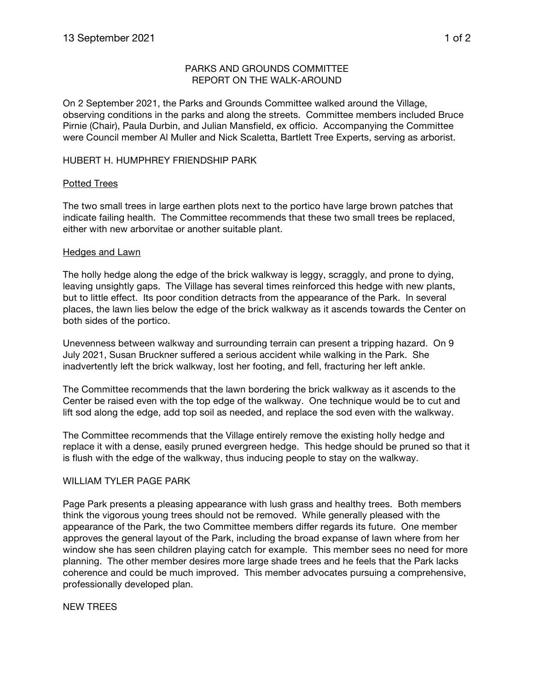## PARKS AND GROUNDS COMMITTEE REPORT ON THE WALK-AROUND

On 2 September 2021, the Parks and Grounds Committee walked around the Village, observing conditions in the parks and along the streets. Committee members included Bruce Pirnie (Chair), Paula Durbin, and Julian Mansfield, ex officio. Accompanying the Committee were Council member Al Muller and Nick Scaletta, Bartlett Tree Experts, serving as arborist.

### HUBERT H. HUMPHREY FRIENDSHIP PARK

#### Potted Trees

The two small trees in large earthen plots next to the portico have large brown patches that indicate failing health. The Committee recommends that these two small trees be replaced, either with new arborvitae or another suitable plant.

#### Hedges and Lawn

The holly hedge along the edge of the brick walkway is leggy, scraggly, and prone to dying, leaving unsightly gaps. The Village has several times reinforced this hedge with new plants, but to little effect. Its poor condition detracts from the appearance of the Park. In several places, the lawn lies below the edge of the brick walkway as it ascends towards the Center on both sides of the portico.

Unevenness between walkway and surrounding terrain can present a tripping hazard. On 9 July 2021, Susan Bruckner suffered a serious accident while walking in the Park. She inadvertently left the brick walkway, lost her footing, and fell, fracturing her left ankle.

The Committee recommends that the lawn bordering the brick walkway as it ascends to the Center be raised even with the top edge of the walkway. One technique would be to cut and lift sod along the edge, add top soil as needed, and replace the sod even with the walkway.

The Committee recommends that the Village entirely remove the existing holly hedge and replace it with a dense, easily pruned evergreen hedge. This hedge should be pruned so that it is flush with the edge of the walkway, thus inducing people to stay on the walkway.

#### WILLIAM TYLER PAGE PARK

Page Park presents a pleasing appearance with lush grass and healthy trees. Both members think the vigorous young trees should not be removed. While generally pleased with the appearance of the Park, the two Committee members differ regards its future. One member approves the general layout of the Park, including the broad expanse of lawn where from her window she has seen children playing catch for example. This member sees no need for more planning. The other member desires more large shade trees and he feels that the Park lacks coherence and could be much improved. This member advocates pursuing a comprehensive, professionally developed plan.

#### NEW TREES